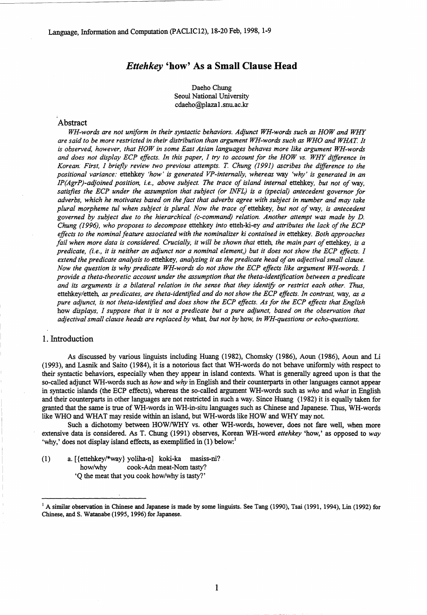# *Ettehkey* 'how' As a Small Clause Head

Daeho Chung Seoul National University cdaeho@plazal.snu.ac.kr

#### Abstract

*WH-words are not uniform in their syntactic behaviors. Adjunct WH-words such as HOW and WHY are said to be more restricted in their distribution than argument WH-words such as WHO and WHAT. It is observed, however, that HOW in some East Asian languages behaves more like argument WH-words and does not display ECP effects. In this paper, I try to account for the HOW vs. WHY difference in Korean. First, I briefly review two previous attempts. T. Chung (1991) ascribes the difference to the positional variance:* ettehkey *'how' is generated VP-internally, whereas way 'why' is generated in an IP(AgrP)-adjoined position, i.e., above subject. The trace of island internal* ettehkey, *but not of way, satisfies the ECP under the assumption that subject (or INFL) is a (special) antecedent governor for adverbs, which he motivates based on the fact that adverbs agree with subject in number and may take plural morpheme tul when subject is plural. Now the trace of* ettehkey, *but not of way, is antecedent governed by subject due to the hierarchical (c-command) relation. Another attempt was made by D. Chung (1996), who proposes to decompose* ettehkey *into* etteh-ki-ey *and attributes the lack of the ECP effects to the nominal feature associated with the nominalizer ki contained in* ettehkey. *Both approaches fail when more data is considered. Crucially, it will be shown that etteh, the main part of ettehkey, is a predicate, (i.e., it is neither an adjunct nor a nominal element,) but it does not show the ECP effects. I extend the predicate analysis to* ettehkey, *analyzing it as the predicate head of an adjectival small clause. Now the question is why predicate WH-words do not show the ECP effects like argument WH-words. I provide a theta-theoretic account under the assumption that the theta-identification between a predicate and its arguments is a bilateral relation in the sense that they identify or restrict each other. Thus,* ettehkey/etteh, *as predicates, are theta-identified and do not show the ECP effects. In contrast, way, as a pure adjunct, is not theta-identified and does show the ECP effects. As for the ECP effects that English* how *displays, I suppose that it is not a predicate but a pure adjunct, based on the observation that adjectival small clause heads are replaced by* what, *but not by* how, *in WH-questions or echo-questions.*

#### 1. Introduction

As discussed by various linguists including Huang (1982), Chomsky (1986), Aoun (1986), Aoun and Li (1993), and Lasnik and Saito (1984), it is a notorious fact that WH-words do not behave uniformly with respect to their syntactic behaviors, especially when they appear in island contexts. What is generally agreed upon is that the so-called adjunct WH-words such as *how* and *why* in English and their counterparts in other languages cannot appear in syntactic islands (the ECP effects), whereas the so-called argument WH-words such as *who* and *what* in English and their counterparts in other languages are not restricted in such a way. Since Huang (1982) it is equally taken for granted that the same is true of WH-words in WH-in-situ languages such as Chinese and Japanese. Thus, WH-words like WHO and WHAT may reside within an island, but WH-words like HOW and WHY may not.

Such a dichotomy between HOW/WHY vs. other WH-words, however, does not fare well, when more extensive data is considered. As T. Chung (1991) observes, Korean WH-word *ettehkey* 'how,' as opposed to *way* 'why,' does not display island effects, as exemplified in  $(1)$  below:<sup>1</sup>

(1) a. [ {ettehkey/\*way} yoliha-n] koki-ka masiss-ni? how/why cook-Adn meat-Nom tasty? `Q the meat that you cook how/why is tasty?'

<sup>&</sup>lt;sup>1</sup> A similar observation in Chinese and Japanese is made by some linguists. See Tang (1990), Tsai (1991, 1994), Lin (1992) for Chinese, and S. Watanabe (1995, 1996) for Japanese.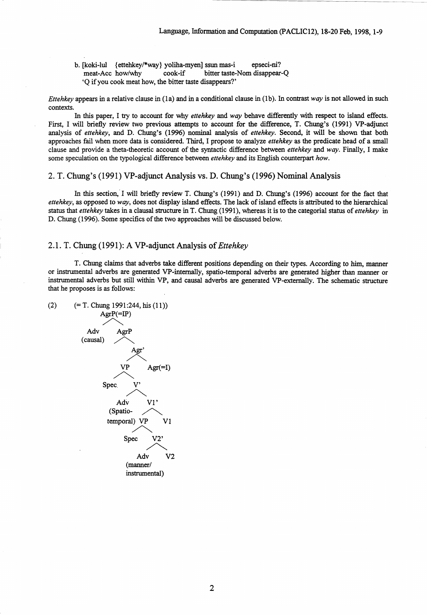b. [koki-lul {ettehkey/\*way) yoliha-myen] ssun mas-i epseci-ni? meat-Acc how/why cook-if bitter taste-Nom disappear-Q `Q if you cook meat how, the bitter taste disappears?'

*Ettehkey* appears in a relative clause in (la) and in a conditional clause in (lb). In contrast *way* is not allowed in such contexts.

In this paper, I try to account for why *ettehkey* and *way* behave differently with respect to island effects. First, I will briefly review two previous attempts to account for the difference, T. Chung's (1991) VP-adjunct analysis of *ettehkey,* and D. Chung's (1996) nominal analysis of *ettehkey.* Second, it will be shown that both approaches fail when more data is considered. Third, I propose to analyze *ettehkey as* the predicate head of a small clause and provide a theta-theoretic account of the syntactic difference between *ettehkey* and *way.* Finally, I make some speculation on the typological difference between *ettehkey* and its English counterpart *how.*

2. T. Chung's (1991) VP-adjunct Analysis vs. D. Chung's (1996) Nominal Analysis

In this section, I will briefly review T. Chung's (1991) and D. Chung's (1996) account for the fact that *ettehkey,* as opposed to *way,* does not display island effects. The lack of island effects is attributed to the hierarchical status that *ettehkey* takes in a clausal structure in T. Chung (1991), whereas it is to the categorial status of *ettehkey* in D. Chung (1996). Some specifics of the two approaches will be discussed below.

## 2.1. T. Chung (1991): A VP-adjunct Analysis of *Ettehkey*

T. Chung claims that adverbs take different positions depending on their types. According to him, manner or instrumental adverbs are generated VP-internally, spatio-temporal adverbs are generated higher than manner or instrumental adverbs but still within VP, and causal adverbs are generated VP-externally. The schematic structure that he proposes is as follows:

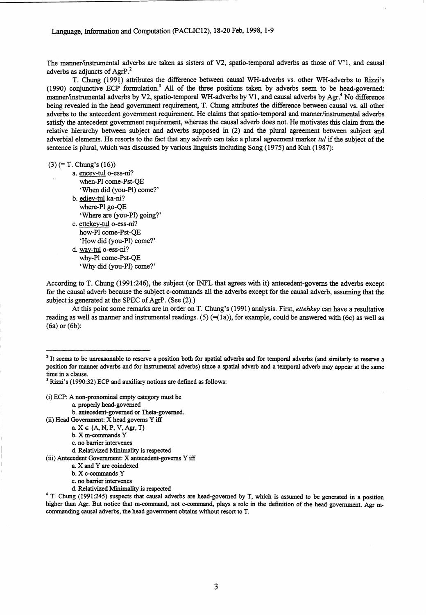The manner/instrumental adverbs are taken as sisters of V2, spatio-temporal adverbs as those of V'1, and causal adverbs as adjuncts of AgrP.<sup>2</sup>

T. Chung (1991) attributes the difference between causal WH-adverbs vs. other WH-adverbs to Rizzi's (1990) conjunctive ECP formulation.<sup>3</sup> All of the three positions taken by adverbs seem to be head-governed: manner/instrumental adverbs by V2, spatio-temporal WH-adverbs by V1, and causal adverbs by Agr.<sup>4</sup> No difference being revealed in the head government requirement, T. Chung attributes the difference between causal vs. all other adverbs to the antecedent government requirement. He claims that spatio-temporal and manner/instrumental adverbs satisfy the antecedent government requirement, whereas the causal adverb does not. He motivates this claim from the relative hierarchy between subject and adverbs supposed in (2) and the plural agreement between subject and adverbial elements. He resorts to the fact that any adverb can take a plural agreement marker *tul* if the subject of the sentence is plural, which was discussed by various linguists including Song (1975) and Kuh (1987):

 $(3)$  (= T. Chung's  $(16)$ )

a. encey-tul o-ess-ni? when-P1 come-Pst-QE `When did (you-P1) come?' b. ediey-tul ka-ni? where-P1 go-QE `Where are (you-P1) going?' c. ettekey-tul o-ess-ni? how-P1 come-Pst-QE `How did (you-P1) come?' d. way-tul o-ess-ni? why-P1 come-Pst-QE `Why did (you-P1) come?'

According to T. Chung (1991:246), the subject (or 'NFL that agrees with it) antecedent-governs the adverbs except for the causal adverb because the subject c-commands all the adverbs except for the causal adverb, assuming that the subject is generated at the SPEC of AgrP. (See (2).)

At this point some remarks are in order on T. Chung's (1991) analysis. First, *ettehkey can* have a resultative reading as well as manner and instrumental readings. (5)  $(=(1a))$ , for example, could be answered with (6c) as well as (6a) or (6b):

(i) ECP: A non-pronominal empty category must be

a. properly head-governed

b. antecedent-governed or Theta-governed.

- (ii) Head Government: X head governs Y iff
	- a.  $X \in \{A, N, P, V, Agr, T\}$
	- b. X m-commands Y
	- c. no barrier intervenes

d. Relativized Minimality is respected

(iii) Antecedent Government: X antecedent-governs Y iff

 $2$  It seems to be unreasonable to reserve a position both for spatial adverbs and for temporal adverbs (and similarly to reserve a position for manner adverbs and for instrumental adverbs) since a spatial adverb and a temporal adverb may appear at the same time in a clause.

<sup>3</sup> Rizzi's (1990:32) ECP and auxiliary notions are defined as follows:

a. X and Y are coindexed

b. X c-commands Y

c. no barrier intervenes

d. Relativized Minimality is respected

<sup>&</sup>lt;sup>4</sup> T. Chung (1991:245) suspects that causal adverbs are head-governed by T, which is assumed to be generated in a position higher than Agr. But notice that m-command, not c-command, plays a role in the definition of the head government. Agr mcommanding causal adverbs, the head government obtains without resort to T.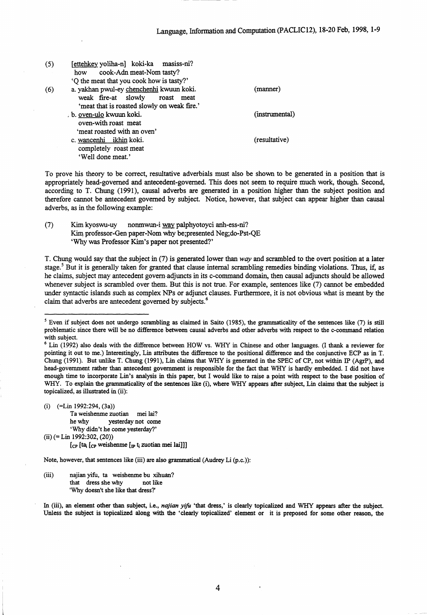| (5) | [ettehkey yoliha-n] koki-ka masiss-ni?      |                |
|-----|---------------------------------------------|----------------|
|     | cook-Adn meat-Nom tasty?<br>how             |                |
|     | 'Q the meat that you cook how is tasty?'    |                |
| (6) | a. yakhan pwul-ey chenchenhi kwuun koki.    | (manner)       |
|     | weak fire-at slowly<br>roast<br>meat        |                |
|     | 'meat that is roasted slowly on weak fire.' |                |
|     | b. oven-ulo kwuun koki.                     | (instrumental) |
|     | oven-with roast meat                        |                |
|     | 'meat roasted with an oven'                 |                |
|     | c. wancenhi ikhin koki.                     | (resultative)  |
|     | completely roast meat                       |                |
|     | 'Well done meat.'                           |                |
|     |                                             |                |

To prove his theory to be correct, resultative adverbials must also be shown to be generated in a position that is appropriately head-governed and antecedent-governed. This does not seem to require much work, though. Second, according to T. Chung (1991), causal adverbs are generated in a position higher than the subject position and therefore cannot be antecedent governed by subject. Notice, however, that subject can appear higher than causal adverbs, as in the following example:

(7) Kim kyoswu-uy nonmwun-i way, palphyotoyci anh-ess-ni? Kim professor-Gen paper-Nom why be;presented Neg;do-Pst-QE `Why was Professor Kim's paper not presented?'

T. Chung would say that the subject in (7) is generated lower than *way* and scrambled to the overt position at a later stage.<sup>5</sup> But it is generally taken for granted that clause internal scrambling remedies binding violations. Thus, if, as he claims, subject may antecedent govern . adjuncts in its c-command domain, then causal adjuncts should be allowed whenever subject is scrambled over them. But this is not true. For example, sentences like (7) cannot be embedded under syntactic islands such as complex NPs or adjunct clauses. Furthermore, it is not obvious what is meant by the claim that adverbs are antecedent governed by subjects.<sup>6</sup>

(i) (=Lin 1992:294, (3a))

Ta weishenme zuotian mei lai? he why yesterday not come `Why didn't he come yesterday?'

 $(ii) (= Lin 1992:302, (20))$ 

 $[c_{\text{P}} [ta_i [c_{\text{P}}]$  weishenme  $[p t_i]$  zuotian mei lai]]]

Note, however, that sentences like (iii) are also grammatical (Audrey Li (p.c.)):

(iii) najian yifu, to weishenme bu xihuan? that dress she why not like 'Why doesn't she like that dress?'

In (iii), **an** element other than subject, i.e., *najian yifu* 'that dress,' is clearly topicalized and WHY appears after the subject. Unless the subject is topicalized along with the 'clearly topicalized' element or it is preposed for some other reason, the

4

<sup>&</sup>lt;sup>5</sup> Even if subject does not undergo scrambling as claimed in Saito (1985), the grammaticality of the sentences like  $(7)$  is still problematic since there will be no difference between causal adverbs and other adverbs with respect to the c-command relation with subject.

<sup>6</sup> Lin (1992) also deals with the difference between HOW vs. WHY in Chinese and other languages. (I thank a reviewer for pointing it out to me.) Interestingly, Lin attributes the difference to the positional difference and the conjunctive ECP as in T. Chung (1991). But unlike T. Chung (1991), Lin claims that WHY is generated in the SPEC of CP, not within IP (AgrP), and head-government rather than antecedent government is responsible for the fact that WHY is hardly embedded. I did not have enough time to incorporate Lin's analysis in this paper, but I would like to raise a point with respect to the base position of WHY. To explain the grammaticality of the sentences like (i), where WHY appears after subject, Lin claims that the subject is topicalized, as illustrated in (ii):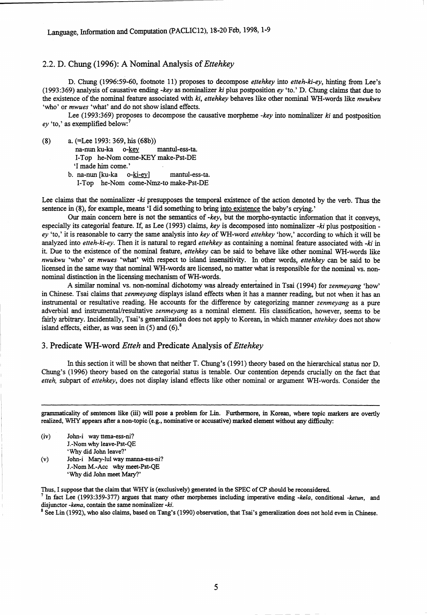### 2.2. D. Chung (1996): A Nominal Analysis of *Ettehkey*

D. Chung (1996:59-60, footnote 11) proposes to decompose *ettehkey* into *etteh-ki-ey,* hinting from Lee's (1993:369) analysis of causative ending *-key* as nominalizer  $ki$  plus postposition  $ey$  'to.' D. Chung claims that due to the existence of the nominal feature associated with *ki, ettehkey* behaves like other nominal WH-words like *nwukwu* `who' or *mwues* 'what' and do not show island effects.

Lee (1993:369) proposes to decompose the causative morpheme *-key* into nominalizer *ki* and postposition ey 'to,' as exemplified below:<sup>7</sup>

(8) a. (=Lee 1993: 369, his (68b))

na-nun ku-ka o-key mantul-ess-ta.

I-Top he-Nom come-KEY make-Pst-DE

`I made him come.'

b. na-nun [ku-ka o-ki-ey] mantul-ess-ta.

1-Top he-Nom come-Nmz-to make-Pst-DE

Lee claims that the nominalizer *-ki* presupposes the temporal existence of the action denoted by the verb. Thus the sentence in (8), for example, means 'I did something to bring into existence the baby's crying.'

Our main concern here is not the semantics of *-key,* but the morpho-syntactic information that it conveys, especially its categorial feature. If, as Lee (1993) claims, *key* is decomposed into nominalizer *-ki* plus postposition ev 'to,' it is reasonable to carry the same analysis into *key* of WH-word *ettehkey* 'how,' according to which it will be analyzed into *etteh-ki-ey.* Then it is natural to regard *ettehkey* as containing a nominal feature associated with *-ki* in it. Due to the existence of the nominal feature, *ettehkey* can be said to behave like other nominal WH-words like *nwukwu* 'who' or *mwues-* 'what' with respect to island insensitivity. In other words, *ettehkey can* be said to be licensed in the same way that nominal WH-words are licensed, no matter what is responsible for the nominal vs. nonnominal distinction in the licensing mechanism of WH-words.

A similar nominal vs. non-nominal dichotomy was already entertained in Tsai (1994) for *zenmeyang* 'how' in Chinese. Tsai claims that *zenmeyang* displays island effects when it has a manner reading, but not when it has an instrumental or resultative reading. He accounts for the difference by categorizing manner *zenmeyang as a* pure adverbial and instrumental/resultative *zenmeyang as a* nominal element. His classification, however, seems to be fairly arbitrary. Incidentally, Tsai's generalization does not apply to Korean, in which manner *ettehkey* does not show island effects, either, as was seen in  $(5)$  and  $(6)$ .<sup>8</sup>

#### 3. Predicate WH-word *Etteh* and Predicate Analysis of *Ettehkey*

In this section it will be shown that neither T. Chung's (1991) theory based on the hierarchical status nor D. Chung's (1996) theory based on the categorial status is tenable. Our contention depends crucially on the fact that *etteh,* subpart of *ettehkey,* does not display island effects like other nominal or argument WH-words. Consider the

grammaticality of sentences like (iii) will pose a problem for Lin. Furthermore, in Korean, where topic markers are overtly realized, WHY appears after a non-topic (e.g., nominative or accusative) marked element without any difficulty:

(iv) John-i way ttena-ess-ni? J.-Nom why leave-Pst-QE `Why did John leave?'

(v) John-i Mary-lul way manna-ess-ni? J.-Nom M.-Acc why meet-Pst-QE 'Why did John meet Mary?'

Thus, I suppose that the claim that WHY is (exclusively) generated in the SPEC of CP should be reconsidered.

7 In fact Lee (1993:359-377) argues that many other morphemes including imperative ending *-kela,* conditional *-ketun,* and disjunctor *-kena*, contain the same nominalizer -ki.

 $8$  See Lin (1992), who also claims, based on Tang's (1990) observation, that Tsai's generalization does not hold even in Chinese.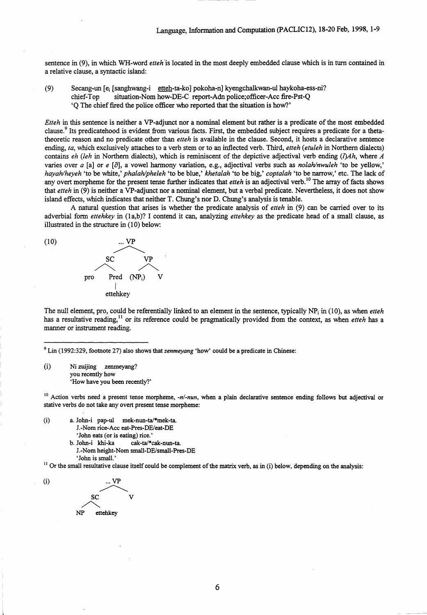sentence in (9), in which WH-word *etteh is* located in the most deeply embedded clause which is in turn contained in a relative clause, a syntactic island:

(9) Secang-un [e<sub>i</sub> [sanghwang-i etteh-ta-ko] pokoha-n] kyengchalkwan-ul haykoha-ess-ni?<br>chief-Top situation-Nom how-DE-C report-Adn police:officer-Acc fire-Pst-Q situation-Nom how-DE-C report-Adn police;officer-Acc fire-Pst-Q `Q The chief fired the police officer who reported that the situation is how?'

*Etteh* in this sentence is neither a VP-adjunct nor a nominal element but rather is a predicate of the most embedded clause.9 Its predicatehood is evident from various facts. First, the embedded subject requires a predicate for a thetatheoretic reason and no predicate other than *etteh* is *available* in the clause. Second, it hosts a declarative sentence ending, *ta,* which exclusively attaches to a verb stem or to an inflected verb. Third, *etteh (etuleh* in Northern dialects) contains *eh (leh* in Northern dialects), which is reminiscent of the depictive adjectival verb ending *(1)Ah,* where *A* varies over *a [a]* or *e [a] ,* a vowel harmony variation, e.g., adjectival verbs such as *nolah/nwuleh* 'to be yellow,' *hayahlheyeh* 'to be white,' *phalah/pheleh* 'to be blue,' *khetalah* 'to be big,' *coptalah* 'to be narrow,' etc. The lack of any overt morpheme for the present tense further indicates that *etteh* is an adjectival verb.<sup>10</sup> The array of facts shows that *etteh* in (9) is neither a VP-adjunct nor a nominal element, but a verbal predicate. Nevertheless, it does not show island effects, which indicates that neither T. Chung's nor D. Chung's analysis is tenable.

A natural question that arises is whether the predicate analysis of *etteh* in (9) can be carried over to its adverbial form *ettehkey* in (1a,b)? I contend it can, analyzing *ettehkey* as the predicate head of a small clause, as illustrated in the structure in (10) below:



The null element, pro, could be referentially linked to an element in the sentence, typically NP i in (10), as when *etteh* has a resultative reading,<sup>11</sup> or its reference could be pragmatically provided from the context, as when *etteh* has a manner or instrument reading.

9 Lin (1992:329, footnote 27) also shows that *zenmeyang* 'how' could be a predicate in Chinese:

 $(i)$ Ni zuijing zenmeyang? you recently how `How have you been recently?'

<sup>10</sup> Action verbs need a present tense morpheme, *-n/-nun*, when a plain declarative sentence ending follows but adjectival or stative verbs do not take any overt present tense morpheme:

(i) a. John-i pap-ul mek-nun-ta/\*mek-ta. J.-Nom rice-Acc eat-Pres-DE/eat-DE `John eats (or is eating) rice.' b. John-i khi-ka cak-ta/\*cak-nun-ta. J.-Nom height-Nom small-DE/small-Pres-DE

 $<sup>11</sup>$  Or the small resultative clause itself could be complement of the matrix verb, as in (i) below, depending on the analysis:</sup>



`John is small.'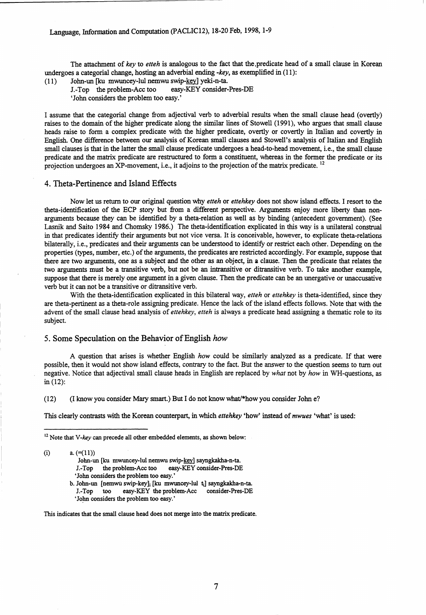The attachment of *key* to *etteh* is analogous to the fact that the ,predicate head of a small clause in Korean undergoes a categorial change, hosting an adverbial ending *-key, as* exemplified in (11):

- (11) John-un [ku mwuncey-lul nemwu swip-key] yeki-n-ta.
	- J.-Top the problem-Acc too easy-KEY consider-Pres-DE

`John considers the problem too easy.'

I assume that the categorial change from adjectival verb to adverbial results when the small clause head (overtly) raises to the domain of the higher predicate along the similar lines of Stowell (1991), who argues that small clause heads raise to form a complex predicate with the higher predicate, overtly or covertly in Italian and covertly in English. One difference between our analysis of Korean small clauses and Stowell's analysis of Italian and English small clauses is that in the latter the small clause predicate undergoes a head-to-head movement, i.e., the small clause predicate and the matrix predicate are restructured to form a constituent, whereas in the former the predicate or its projection undergoes an XP-movement, i.e., it adjoins to the projection of the matrix predicate. <sup>12</sup>

#### 4. Theta-Pertinence and Island Effects

Now let us return to our original question why *etteh* or *ettehkey* does not show island effects. I resort to the theta-identification of the ECP story but from a different perspective. Arguments enjoy more liberty than nonarguments because they can be identified by a theta-relation as well as by binding (antecedent government). (See Lasnik and Saito 1984 and Chomsky 1986.) The theta-identification explicated in this way is a unilateral construal in that predicates identify their arguments but not vice versa. It is conceivable, however, to explicate theta-relations bilaterally, i.e., predicates and their arguments can be understood to identify or restrict each other. Depending on the properties (types, number, etc.) of the arguments, the predicates are restricted accordingly. For example, suppose that there are two arguments, one as a subject and the other as an object, in a clause. Then the predicate that relates the two arguments must be a transitive verb, but not be an intransitive or ditransitive verb. To take another example, suppose that there is merely one argument in a given clause. Then the predicate can be an unergative or unaccusative verb but it can not be a transitive or ditransitive verb.

With the theta-identification explicated in this bilateral way, *etteh* or *ettehkey* is theta-identified, since they are theta-pertinent as a theta-role assigning predicate. Hence the lack of the island effects follows. Note that with the advent of the small clause head analysis of *ettehkey, etteh* is always a predicate head assigning a thematic role to *its* subject.

### 5. Some Speculation on the Behavior of English *how*

A question that arises is whether English *how* could be similarly analyzed as a predicate. If that were possible, then it would not show island effects, contrary to the fact. But the answer to the question seems to turn out negative. Notice that adjectival small clause heads in English are replaced by *what* not by *how* in WH-questions, as in (12):

(12) (I know you consider Mary smart.) But I do not know what/\*how you consider John e?

This clearly contrasts with the Korean counterpart, in which *ettehkey* 'how' instead of *mwues* 'what' is used:

(i)  $a. (= (11))$ 

John-un [ku mwuncey-lul nemwu swip-key] sayngkakha-n-ta. J.-Top the problem-Acc too easy-KEY consider-Pres-DE `John considers the problem too easy.'

b. John-un [nemwu swip-key]; [ku mwuncey-lul t<sub>i</sub>] sayngkakha-n-ta. J.-Top too easy-KEY the problem-Ace consider-Pres-DE `John considers the problem too easy.'

This indicates that the small clause head does not merge into the matrix predicate.

<sup>&</sup>lt;sup>12</sup> Note that *V-key* can precede all other embedded elements, as shown below: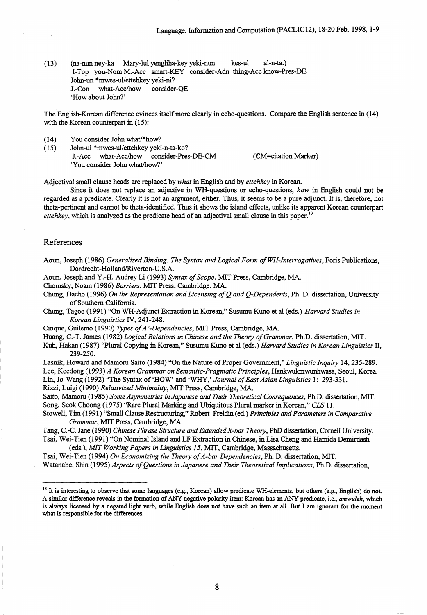(13) (na-nun ney-ka Mary-lul yengliha-key yeki-nun kes-ul al-n-ta.) I-Top you-Nom M.-Acc smart-KEY consider-Adn thing-Acc know-Pres-DE John-un \*mwes-ul/ettehkey yeki-ni? J.-Con what-Acc/how consider-QE `How about John?'

The English-Korean difference evinces itself more clearly in echo-questions. Compare the English sentence in (14) with the Korean counterpart in (15):

- (14) You consider John what/\*how?
- (15) John-ul \*mwes-ul/ettehkey yeki-n-ta-ko? J.-Acc what-Acclhow consider-Pres-DE-CM (CM--citation Marker)

`You consider John what/how?'

Adjectival small clause heads are replaced by *what* in English and by *ettehkey* in Korean.

Since it does not replace **an** adjective in WH-questions or echo-questions, *how* in English could not be regarded as *a* predicate. Clearly it is not an argument, either. Thus, it seems to be a pure adjunct. It *is,* therefore, not theta-pertinent and cannot be theta-identified. Thus it shows the island effects, unlike its apparent Korean counterpart *ettehkey,* which is analyzed as the predicate head of an adjectival small clause in this paper.<sup>13</sup>

### References

Aoun, Joseph (1986) *Generalized Binding: The Syntax and Logical Form of WH-Interrogatives,* Foris Publications, Dordrecht-Holland/Riverton-U.S.A.

Aoun, Joseph and Y.-H. Audrey Li (1993) *Syntax of Scope,* MIT Press, Cambridge, MA.

Chomsky, Noam (1986) *Barriers,* MIT Press, Cambridge, MA.

- Chung, Daeho (1996) *On the Representation and Licensing of Q and Q-Dependents,* Ph. D. dissertation, University of Southern California.
- Chung, Tagoo (1991) "On WH-Adjunct Extraction in Korean," Susumu Kuno et al (eds.) *Harvard Studies in Korean Linguistics* IV, 241-248.

Cinque, Guilemo (1990) *Types of A'-Dependencies,* MIT Press, Cambridge, MA.

Huang, C.-T. James (1982) *Logical Relations in Chinese and the Theory of Grammar,* Ph.D. dissertation, MIT.

Kuh, Hakan (1987) "Plural Copying in Korean," Susumu Kuno et al (eds.) *Harvard Studies in Korean Linguistics* II, 239-250.

Lasnik, Howard and Mamoru Saito (1984) "On the Nature of Proper Government," *Linguistic Inquiry* 14, 235-289. Lee, Keedong (1993) *A Korean Grammar on Semantic-Pragmatic Principles,* Hankwukmwunhwasa, Seoul, Korea. Lin, Jo-Wang (1992) "The Syntax of 'HOW' and 'WHY,' *Journal of East Asian Linguistics* 1: 293-331.

Rizzi, Luigi (1990) *Relativized Minimality,* MIT Press, Cambridge, MA.

Saito, Mamoru (1985) *Some Asymmetries in Japanese and Their Theoretical Consequences,* Ph.D. dissertation, MIT. Song, Seok Choong (1975) "Rare Plural Marking and Ubiquitous Plural marker in Korean," *CLS* 11.

Stowell, Tim (1991) "Small Clause Restructuring," Robert Freidin (ed.) *Principles and Parameters in Comparative Grammar,* MIT Press, Cambridge, MA.

Tang, C.-C. Jane (1990) *Chinese Phrase Structure and Extended X-bar Theory,* PhD dissertation, Cornell University. Tsai, Wei-Tien (1991) "On Nominal Island and LF Extraction in Chinese, in Lisa Cheng and Hamida Demirdash

(eds.), *MIT Working Papers in Linguistics 15,* MIT, Cambridge, Massachusetts. Tsai, Wei-Tien (1994) *On Economizing the Theory of A-bar Dependencies,* Ph. D. dissertation, MIT. Watanabe, Shin (1995) *Aspects of Questions in Japanese and Their Theoretical Implications,* Ph.D. dissertation,

<sup>&</sup>lt;sup>13</sup> It is interesting to observe that some languages (e.g., Korean) allow predicate WH-elements, but others (e.g., English) do not. A similar difference reveals in the formation of ANY negative polarity item: Korean has an ANY predicate, i.e., *amwuleh,* which is always licensed by a negated light verb, while English does not have such an item at all. But I am ignorant for the moment what is responsible for the differences.